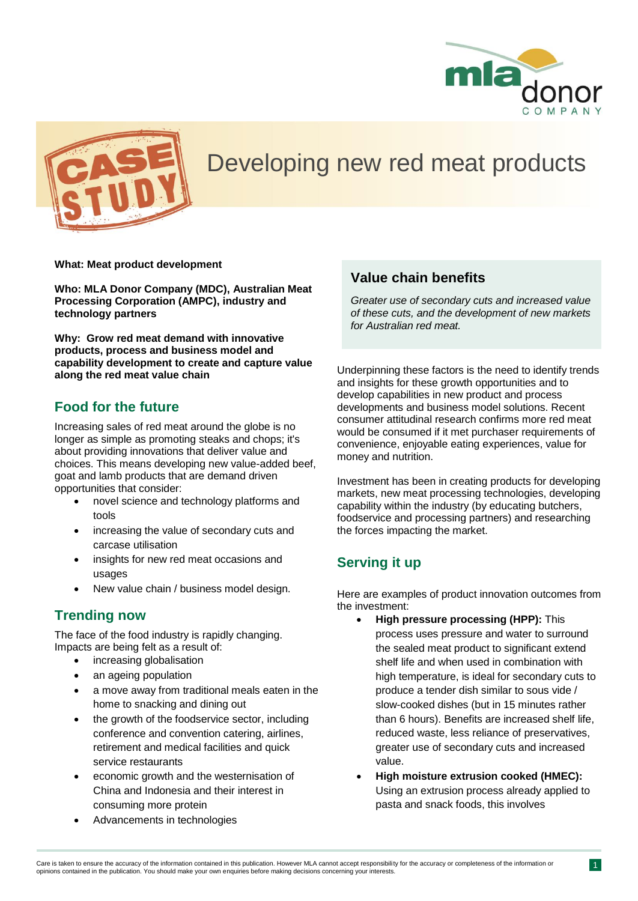



# Developing new red meat products

**What: Meat product development**

**Who: MLA Donor Company (MDC), Australian Meat Processing Corporation (AMPC), industry and technology partners**

**Why: Grow red meat demand with innovative products, process and business model and capability development to create and capture value along the red meat value chain**

#### **Food for the future**

Increasing sales of red meat around the globe is no longer as simple as promoting steaks and chops; it's about providing innovations that deliver value and choices. This means developing new value-added beef, goat and lamb products that are demand driven opportunities that consider:

- novel science and technology platforms and tools
- increasing the value of secondary cuts and carcase utilisation
- insights for new red meat occasions and usages
- New value chain / business model design.

### **Trending now**

The face of the food industry is rapidly changing. Impacts are being felt as a result of:

- increasing globalisation
- an ageing population
- a move away from traditional meals eaten in the home to snacking and dining out
- the growth of the foodservice sector, including conference and convention catering, airlines, retirement and medical facilities and quick service restaurants
- economic growth and the westernisation of China and Indonesia and their interest in consuming more protein
- Advancements in technologies

#### **Value chain benefits**

*Greater use of secondary cuts and increased value of these cuts, and the development of new markets for Australian red meat.*

Underpinning these factors is the need to identify trends and insights for these growth opportunities and to develop capabilities in new product and process developments and business model solutions. Recent consumer attitudinal research confirms more red meat would be consumed if it met purchaser requirements of convenience, enjoyable eating experiences, value for money and nutrition.

Investment has been in creating products for developing markets, new meat processing technologies, developing capability within the industry (by educating butchers, foodservice and processing partners) and researching the forces impacting the market.

### **Serving it up**

Here are examples of product innovation outcomes from the investment:

- **High pressure processing (HPP):** This process uses pressure and water to surround the sealed meat product to significant extend shelf life and when used in combination with high temperature, is ideal for secondary cuts to produce a tender dish similar to sous vide / slow-cooked dishes (but in 15 minutes rather than 6 hours). Benefits are increased shelf life, reduced waste, less reliance of preservatives, greater use of secondary cuts and increased value.
- **High moisture extrusion cooked (HMEC):** Using an extrusion process already applied to pasta and snack foods, this involves